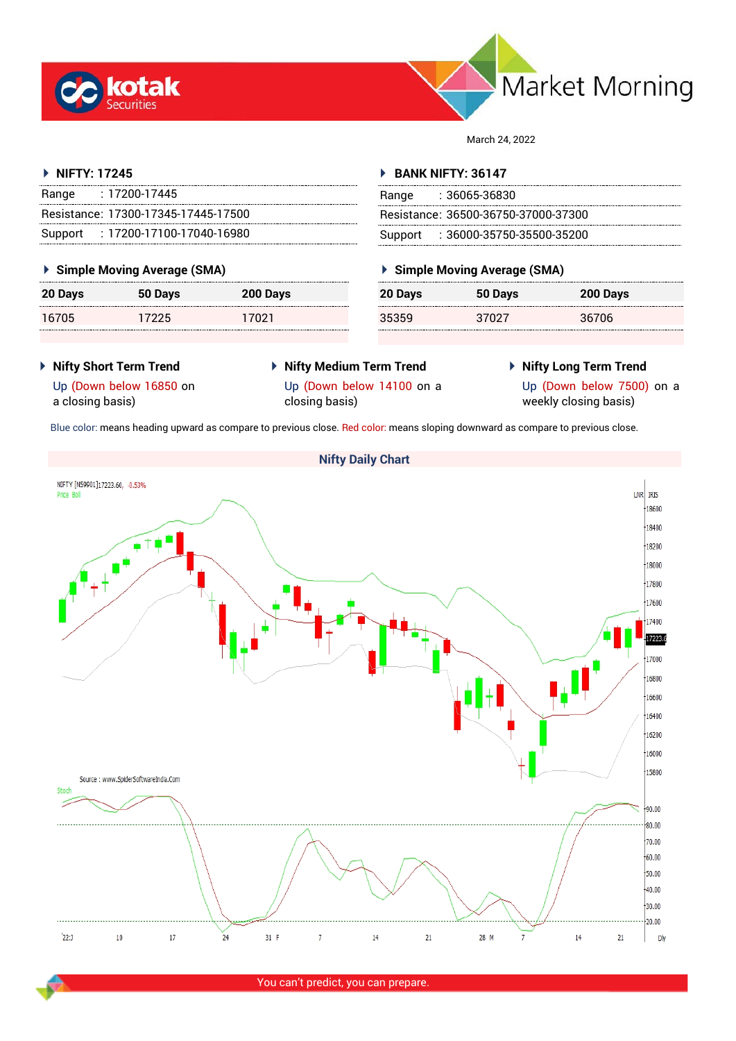



March 24, 2022

## **NIFTY: 17245**

| Range | : 17200-17445                       |
|-------|-------------------------------------|
|       | Resistance: 17300-17345-17445-17500 |
|       | Support: 17200-17100-17040-16980    |

## **Simple Moving Average (SMA)**

| 20 Days | 50 Days | 200 Days |
|---------|---------|----------|
| 16705   | 17225   | 17021    |

## **BANK NIFTY: 36147**

| Range | :36065-36830                        |
|-------|-------------------------------------|
|       | Resistance: 36500-36750-37000-37300 |
|       | Support: : 36000-35750-35500-35200  |

## **Simple Moving Average (SMA)**

| 20 Days | 50 Days | 200 Days |
|---------|---------|----------|
| 35359   | 37027   | 36706    |

- **Nifty Short Term Trend** Up (Down below 16850 on a closing basis)
- **Nifty Medium Term Trend** Up (Down below 14100 on a closing basis)
- **Nifty Long Term Trend**

Up (Down below 7500) on a weekly closing basis)

Blue color: means heading upward as compare to previous close. Red color: means sloping downward as compare to previous close.



You can't predict, you can prepare.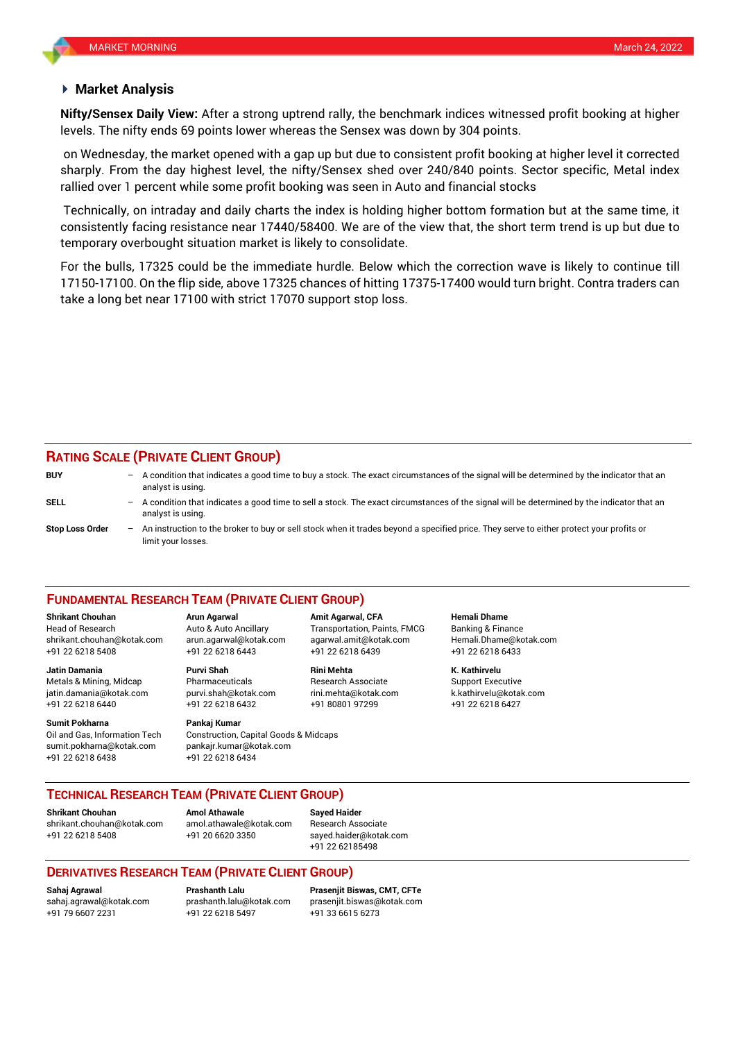## **Market Analysis**

levels. The nifty ends 69 points lower whereas the Sensex was down by 304 points. **Nifty/Sensex Daily View:** After a strong uptrend rally, the benchmark indices witnessed profit booking at higher

on Wednesday, the market opened with a gap up but due to consistent profit booking at higher level it corrected sharply. From the day highest level, the nifty/Sensex shed over 240/840 points. Sector specific, Metal index rallied over 1 percent while some profit booking was seen in Auto and financial stocks

Technically, on intraday and daily charts the index is holding higher bottom formation but at the same time, it consistently facing resistance near 17440/58400. We are of the view that, the short term trend is up but due to temporary overbought situation market is likely to consolidate.

For the bulls, 17325 could be the immediate hurdle. Below which the correction wave is likely to continue till 17150-17100. On the flip side, above 17325 chances of hitting 17375-17400 would turn bright. Contra traders can take a long bet near 17100 with strict 17070 support stop loss.

# **RATING SCALE (PRIVATE CLIENT GROUP)**

| <b>BUY</b>             |     | A condition that indicates a good time to buy a stock. The exact circumstances of the signal will be determined by the indicator that an<br>analyst is using.  |
|------------------------|-----|----------------------------------------------------------------------------------------------------------------------------------------------------------------|
| SELL                   | $-$ | A condition that indicates a good time to sell a stock. The exact circumstances of the signal will be determined by the indicator that an<br>analyst is using. |
| <b>Stop Loss Order</b> |     | An instruction to the broker to buy or sell stock when it trades beyond a specified price. They serve to either protect your profits or<br>limit your losses.  |

#### **FUNDAMENTAL RESEARCH TEAM (PRIVATE CLIENT GROUP)**

Head of Research Auto & Auto Ancillary Transportation, Paints, FMCG Banking & Finance [shrikant.chouhan@kotak.com](mailto:shrikant.chouhan@kotak.com) arun.agarwal@kotak.com agarwal.amit@kotak.com Hemali.Dhame@kotak.com

**Jatin Damania Purvi Shah Rini Mehta K. Kathirvelu** Metals & Mining, Midcap Pharmaceuticals Research Associate Support Executive jatin.damania@kotak.com [purvi.shah@kotak.com](mailto:purvi.shah@kotak.com) rini.mehta@kotak.com [k.kathirvelu@kotak.com](mailto:k.kathirvelu@kotak.com) +91 22 6218 6440 +91 22 6218 6432 +91 80801 97299 +91 22 6218 6427

**Sumit Pokharna** Pankaj Kumar Oil and Gas, Information Tech Construction, Capital Goods & Midcaps sumit.pokharna@kotak.com pankajr.kumar@kotak.com +91 22 6218 6438 +91 22 6218 6434

+91 22 6218 5408 +91 22 6218 6443 +91 22 6218 6439 +91 22 6218 6433

**Shrikant Chouhan Arun Agarwal Amit Agarwal, CFA Hemali Dhame**

## **TECHNICAL RESEARCH TEAM (PRIVATE CLIENT GROUP)**

**Shrikant Chouhan Amol Athawale Sayed Haider**

[shrikant.chouhan@kotak.com](mailto:shrikant.chouhan@kotak.com) [amol.athawale@kotak.com](mailto:amol.athawale@kotak.com) Research Associate +91 22 6218 5408 +91 20 6620 3350 [sayed.haider@kotak.com](mailto:sayed.haider@kotak.com)

+91 22 62185498

## **DERIVATIVES RESEARCH TEAM (PRIVATE CLIENT GROUP)**

+91 22 6218 5497 +91 33 6615 6273

**Sahaj Agrawal Prashanth Lalu Prasenjit Biswas, CMT, CFTe** [sahaj.agrawal@kotak.com](mailto:sahaj.agrawal@kotak.com) [prashanth.lalu@kotak.com](mailto:prashanth.lalu@kotak.com) [prasenjit.biswas@kotak.com](mailto:prasenjit.biswas@kotak.com)